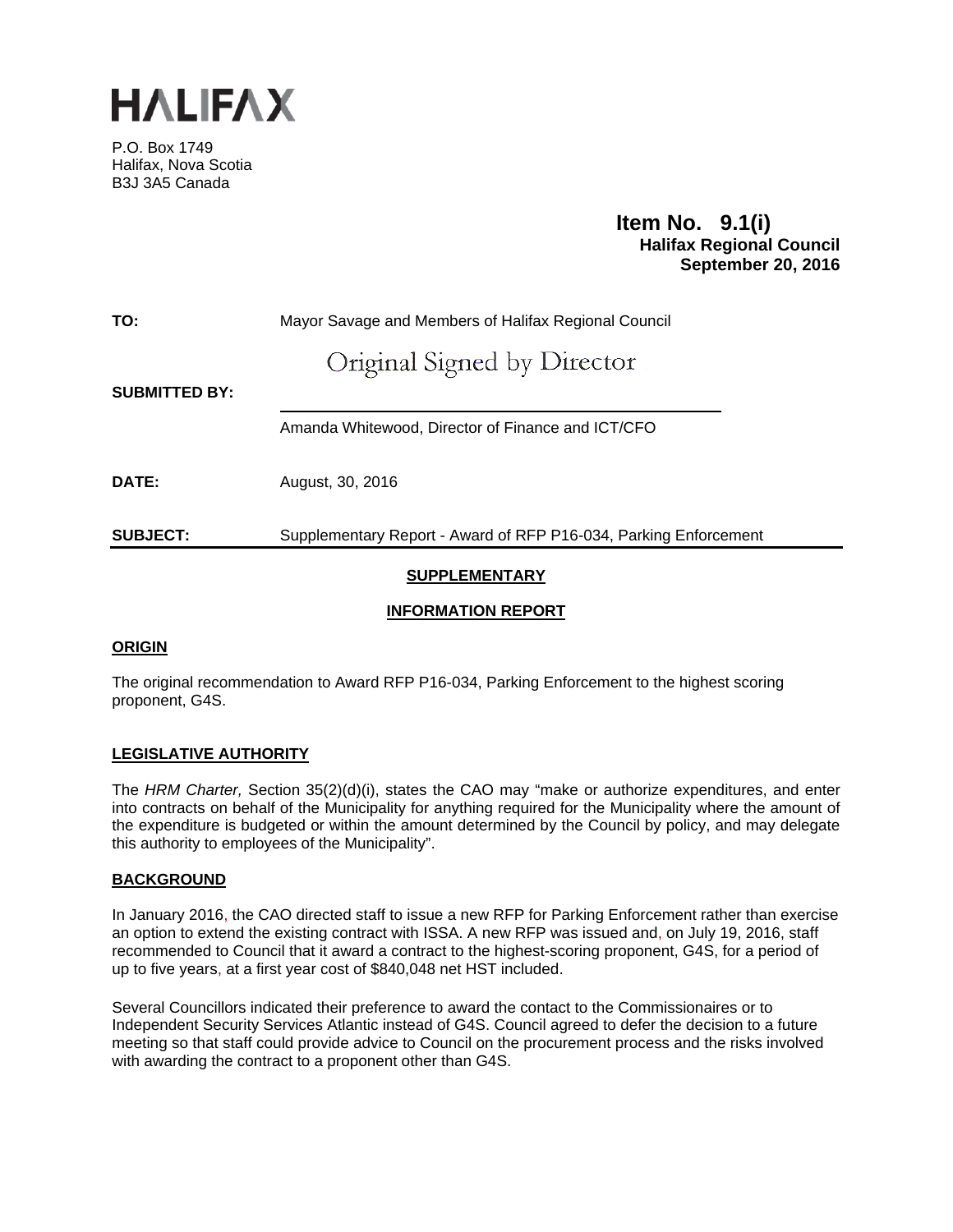

P.O. Box 1749 Halifax, Nova Scotia B3J 3A5 Canada

# **Item No. 9.1(i)**<br>Halifax Regional Council  **September 20, 2016**

**TO:** Mayor Savage and Members of Halifax Regional Council

# Original Signed by Director

**SUBMITTED BY:** 

Amanda Whitewood, Director of Finance and ICT/CFO

**DATE:** August, 30, 2016

**SUBJECT:** Supplementary Report - Award of RFP P16-034, Parking Enforcement

# **SUPPLEMENTARY**

# **INFORMATION REPORT**

# **ORIGIN**

The original recommendation to Award RFP P16-034, Parking Enforcement to the highest scoring proponent, G4S.

# **LEGISLATIVE AUTHORITY**

The *HRM Charter,* Section 35(2)(d)(i), states the CAO may "make or authorize expenditures, and enter into contracts on behalf of the Municipality for anything required for the Municipality where the amount of the expenditure is budgeted or within the amount determined by the Council by policy, and may delegate this authority to employees of the Municipality".

# **BACKGROUND**

In January 2016, the CAO directed staff to issue a new RFP for Parking Enforcement rather than exercise an option to extend the existing contract with ISSA. A new RFP was issued and, on July 19, 2016, staff recommended to Council that it award a contract to the highest-scoring proponent, G4S, for a period of up to five years, at a first year cost of \$840,048 net HST included.

Several Councillors indicated their preference to award the contact to the Commissionaires or to Independent Security Services Atlantic instead of G4S. Council agreed to defer the decision to a future meeting so that staff could provide advice to Council on the procurement process and the risks involved with awarding the contract to a proponent other than G4S.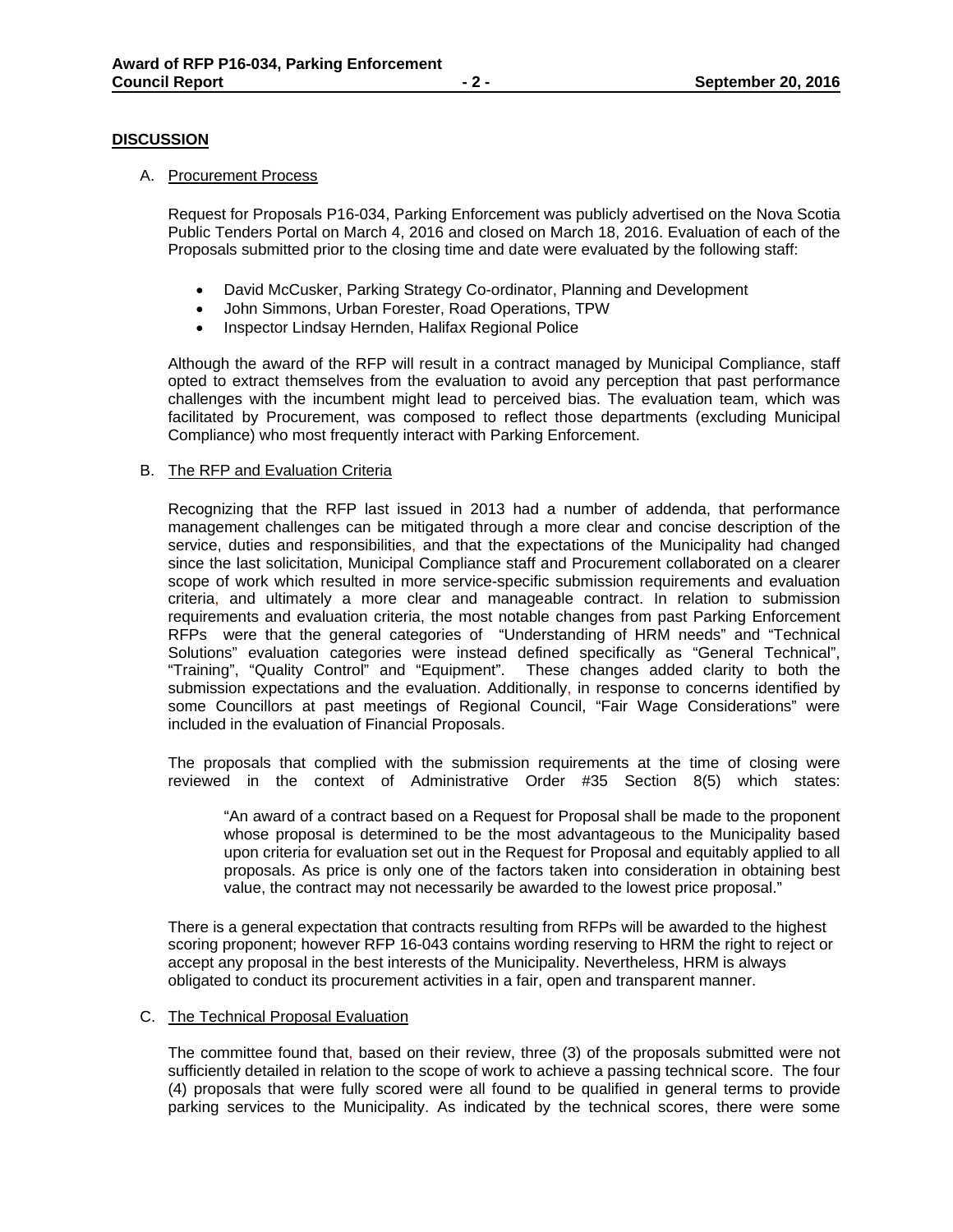## **DISCUSSION**

#### A. Procurement Process

Request for Proposals P16-034, Parking Enforcement was publicly advertised on the Nova Scotia Public Tenders Portal on March 4, 2016 and closed on March 18, 2016. Evaluation of each of the Proposals submitted prior to the closing time and date were evaluated by the following staff:

- David McCusker, Parking Strategy Co-ordinator, Planning and Development
- John Simmons, Urban Forester, Road Operations, TPW
- Inspector Lindsay Hernden, Halifax Regional Police

Although the award of the RFP will result in a contract managed by Municipal Compliance, staff opted to extract themselves from the evaluation to avoid any perception that past performance challenges with the incumbent might lead to perceived bias. The evaluation team, which was facilitated by Procurement, was composed to reflect those departments (excluding Municipal Compliance) who most frequently interact with Parking Enforcement.

## B. The RFP and Evaluation Criteria

Recognizing that the RFP last issued in 2013 had a number of addenda, that performance management challenges can be mitigated through a more clear and concise description of the service, duties and responsibilities, and that the expectations of the Municipality had changed since the last solicitation, Municipal Compliance staff and Procurement collaborated on a clearer scope of work which resulted in more service-specific submission requirements and evaluation criteria, and ultimately a more clear and manageable contract. In relation to submission requirements and evaluation criteria, the most notable changes from past Parking Enforcement RFPs were that the general categories of "Understanding of HRM needs" and "Technical Solutions" evaluation categories were instead defined specifically as "General Technical", "Training", "Quality Control" and "Equipment". These changes added clarity to both the submission expectations and the evaluation. Additionally, in response to concerns identified by some Councillors at past meetings of Regional Council, "Fair Wage Considerations" were included in the evaluation of Financial Proposals.

The proposals that complied with the submission requirements at the time of closing were reviewed in the context of Administrative Order #35 Section 8(5) which states:

"An award of a contract based on a Request for Proposal shall be made to the proponent whose proposal is determined to be the most advantageous to the Municipality based upon criteria for evaluation set out in the Request for Proposal and equitably applied to all proposals. As price is only one of the factors taken into consideration in obtaining best value, the contract may not necessarily be awarded to the lowest price proposal."

There is a general expectation that contracts resulting from RFPs will be awarded to the highest scoring proponent; however RFP 16-043 contains wording reserving to HRM the right to reject or accept any proposal in the best interests of the Municipality. Nevertheless, HRM is always obligated to conduct its procurement activities in a fair, open and transparent manner.

#### C. The Technical Proposal Evaluation

The committee found that, based on their review, three (3) of the proposals submitted were not sufficiently detailed in relation to the scope of work to achieve a passing technical score. The four (4) proposals that were fully scored were all found to be qualified in general terms to provide parking services to the Municipality. As indicated by the technical scores, there were some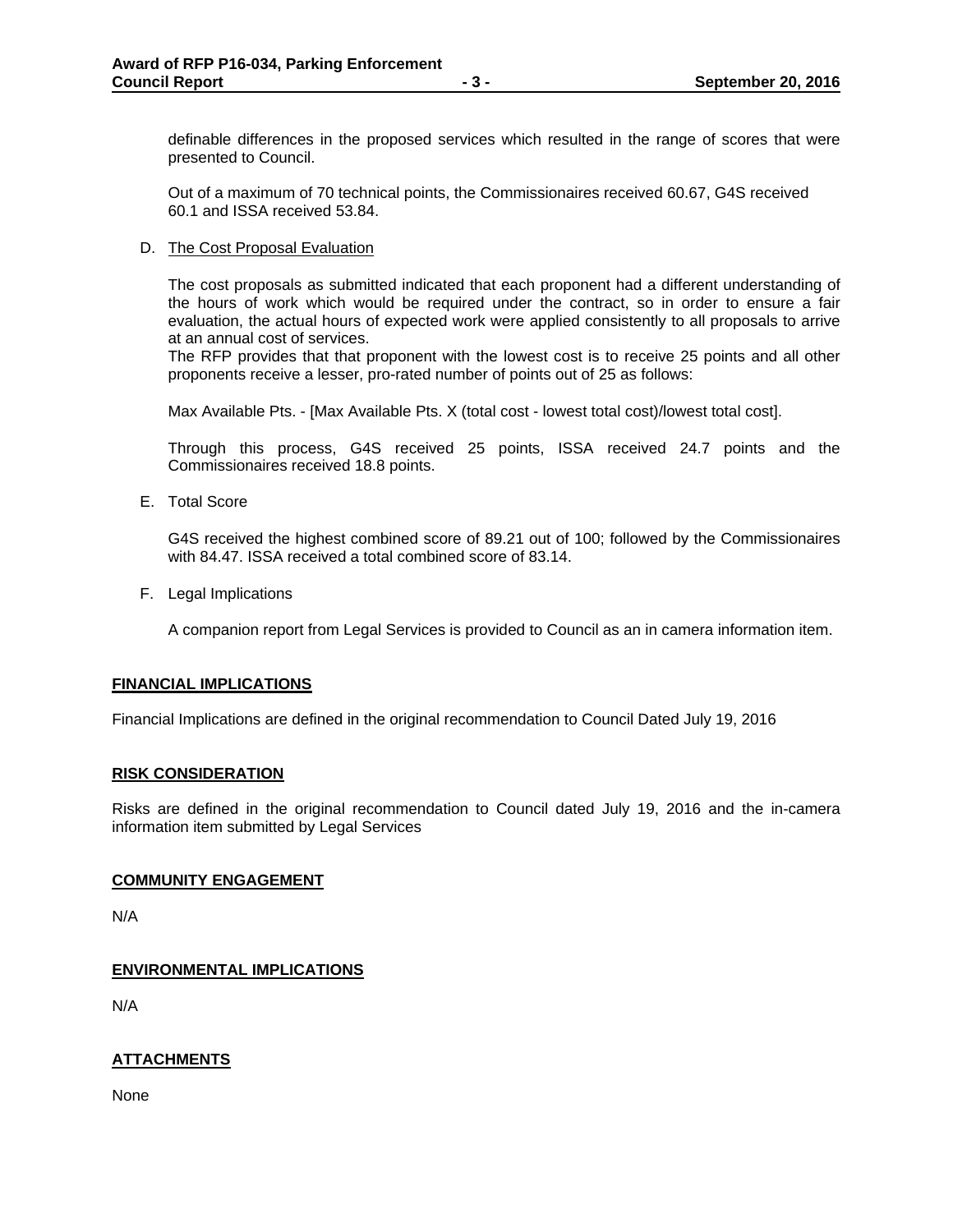definable differences in the proposed services which resulted in the range of scores that were presented to Council.

Out of a maximum of 70 technical points, the Commissionaires received 60.67, G4S received 60.1 and ISSA received 53.84.

D. The Cost Proposal Evaluation

The cost proposals as submitted indicated that each proponent had a different understanding of the hours of work which would be required under the contract, so in order to ensure a fair evaluation, the actual hours of expected work were applied consistently to all proposals to arrive at an annual cost of services.

The RFP provides that that proponent with the lowest cost is to receive 25 points and all other proponents receive a lesser, pro-rated number of points out of 25 as follows:

Max Available Pts. - [Max Available Pts. X (total cost - lowest total cost)/lowest total cost].

Through this process, G4S received 25 points, ISSA received 24.7 points and the Commissionaires received 18.8 points.

E. Total Score

G4S received the highest combined score of 89.21 out of 100; followed by the Commissionaires with 84.47. ISSA received a total combined score of 83.14.

F. Legal Implications

A companion report from Legal Services is provided to Council as an in camera information item.

## **FINANCIAL IMPLICATIONS**

Financial Implications are defined in the original recommendation to Council Dated July 19, 2016

## **RISK CONSIDERATION**

Risks are defined in the original recommendation to Council dated July 19, 2016 and the in-camera information item submitted by Legal Services

## **COMMUNITY ENGAGEMENT**

N/A

# **ENVIRONMENTAL IMPLICATIONS**

N/A

# **ATTACHMENTS**

None